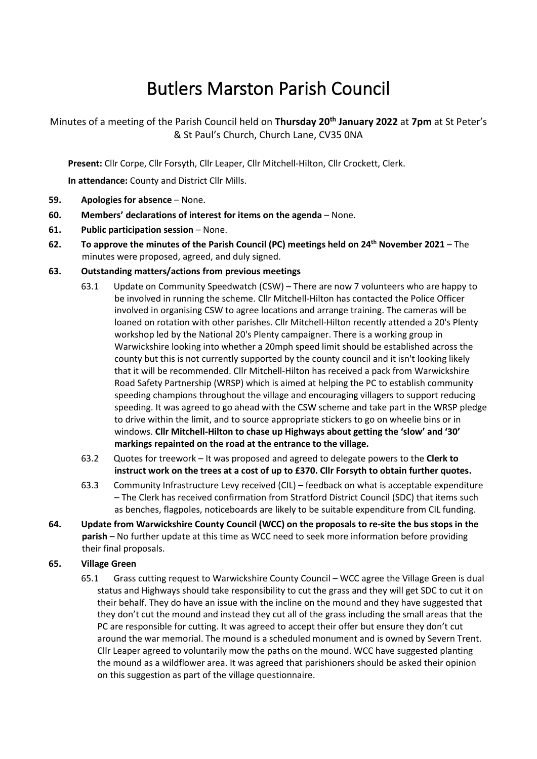# Butlers Marston Parish Council

Minutes of a meeting of the Parish Council held on **Thursday 20th January 2022** at **7pm** at St Peter's & St Paul's Church, Church Lane, CV35 0NA

**Present:** Cllr Corpe, Cllr Forsyth, Cllr Leaper, Cllr Mitchell-Hilton, Cllr Crockett, Clerk.

**In attendance:** County and District Cllr Mills.

- **59. Apologies for absence** None.
- **60. Members' declarations of interest for items on the agenda** None.
- **61. Public participation session** None.
- **62. To approve the minutes of the Parish Council (PC) meetings held on 24th November 2021** The minutes were proposed, agreed, and duly signed.

## **63. Outstanding matters/actions from previous meetings**

- 63.1 Update on Community Speedwatch (CSW) There are now 7 volunteers who are happy to be involved in running the scheme. Cllr Mitchell-Hilton has contacted the Police Officer involved in organising CSW to agree locations and arrange training. The cameras will be loaned on rotation with other parishes. Cllr Mitchell-Hilton recently attended a 20's Plenty workshop led by the National 20's Plenty campaigner. There is a working group in Warwickshire looking into whether a 20mph speed limit should be established across the county but this is not currently supported by the county council and it isn't looking likely that it will be recommended. Cllr Mitchell-Hilton has received a pack from Warwickshire Road Safety Partnership (WRSP) which is aimed at helping the PC to establish community speeding champions throughout the village and encouraging villagers to support reducing speeding. It was agreed to go ahead with the CSW scheme and take part in the WRSP pledge to drive within the limit, and to source appropriate stickers to go on wheelie bins or in windows. **Cllr Mitchell-Hilton to chase up Highways about getting the 'slow' and '30' markings repainted on the road at the entrance to the village.**
- 63.2 Quotes for treework It was proposed and agreed to delegate powers to the **Clerk to instruct work on the trees at a cost of up to £370. Cllr Forsyth to obtain further quotes.**
- 63.3 Community Infrastructure Levy received (CIL) feedback on what is acceptable expenditure – The Clerk has received confirmation from Stratford District Council (SDC) that items such as benches, flagpoles, noticeboards are likely to be suitable expenditure from CIL funding.
- **64. Update from Warwickshire County Council (WCC) on the proposals to re-site the bus stops in the parish** – No further update at this time as WCC need to seek more information before providing their final proposals.

### **65. Village Green**

65.1 Grass cutting request to Warwickshire County Council – WCC agree the Village Green is dual status and Highways should take responsibility to cut the grass and they will get SDC to cut it on their behalf. They do have an issue with the incline on the mound and they have suggested that they don't cut the mound and instead they cut all of the grass including the small areas that the PC are responsible for cutting. It was agreed to accept their offer but ensure they don't cut around the war memorial. The mound is a scheduled monument and is owned by Severn Trent. Cllr Leaper agreed to voluntarily mow the paths on the mound. WCC have suggested planting the mound as a wildflower area. It was agreed that parishioners should be asked their opinion on this suggestion as part of the village questionnaire.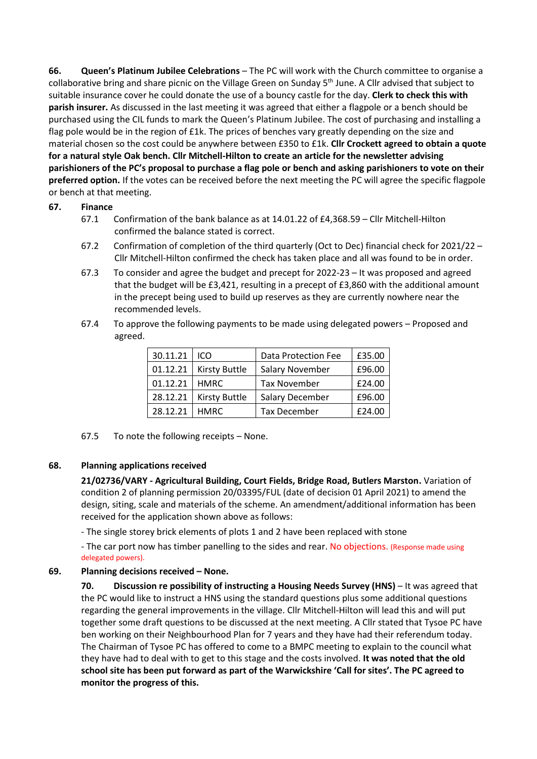**66. Queen's Platinum Jubilee Celebrations** – The PC will work with the Church committee to organise a collaborative bring and share picnic on the Village Green on Sunday 5<sup>th</sup> June. A Cllr advised that subject to suitable insurance cover he could donate the use of a bouncy castle for the day. **Clerk to check this with parish insurer.** As discussed in the last meeting it was agreed that either a flagpole or a bench should be purchased using the CIL funds to mark the Queen's Platinum Jubilee. The cost of purchasing and installing a flag pole would be in the region of £1k. The prices of benches vary greatly depending on the size and material chosen so the cost could be anywhere between £350 to £1k. **Cllr Crockett agreed to obtain a quote for a natural style Oak bench. Cllr Mitchell-Hilton to create an article for the newsletter advising parishioners of the PC's proposal to purchase a flag pole or bench and asking parishioners to vote on their preferred option.** If the votes can be received before the next meeting the PC will agree the specific flagpole or bench at that meeting.

## **67. Finance**

- 67.1 Confirmation of the bank balance as at 14.01.22 of £4,368.59 Cllr Mitchell-Hilton confirmed the balance stated is correct.
- 67.2 Confirmation of completion of the third quarterly (Oct to Dec) financial check for 2021/22 Cllr Mitchell-Hilton confirmed the check has taken place and all was found to be in order.
- 67.3 To consider and agree the budget and precept for 2022-23 It was proposed and agreed that the budget will be £3,421, resulting in a precept of £3,860 with the additional amount in the precept being used to build up reserves as they are currently nowhere near the recommended levels.
- 67.4 To approve the following payments to be made using delegated powers Proposed and agreed.

| 30.11.21 | ICO                  | <b>Data Protection Fee</b> | £35.00 |
|----------|----------------------|----------------------------|--------|
| 01.12.21 | <b>Kirsty Buttle</b> | <b>Salary November</b>     | £96.00 |
| 01.12.21 | <b>HMRC</b>          | <b>Tax November</b>        | £24.00 |
| 28.12.21 | <b>Kirsty Buttle</b> | Salary December            | £96.00 |
| 28.12.21 | <b>HMRC</b>          | <b>Tax December</b>        | £24.00 |

67.5 To note the following receipts – None.

### **68. Planning applications received**

**21/02736/VARY - Agricultural Building, Court Fields, Bridge Road, Butlers Marston.** Variation of condition 2 of planning permission 20/03395/FUL (date of decision 01 April 2021) to amend the design, siting, scale and materials of the scheme. An amendment/additional information has been received for the application shown above as follows:

- The single storey brick elements of plots 1 and 2 have been replaced with stone

- The car port now has timber panelling to the sides and rear. No objections. (Response made using delegated powers).

### **69. Planning decisions received – None.**

**70. Discussion re possibility of instructing a Housing Needs Survey (HNS)** – It was agreed that the PC would like to instruct a HNS using the standard questions plus some additional questions regarding the general improvements in the village. Cllr Mitchell-Hilton will lead this and will put together some draft questions to be discussed at the next meeting. A Cllr stated that Tysoe PC have ben working on their Neighbourhood Plan for 7 years and they have had their referendum today. The Chairman of Tysoe PC has offered to come to a BMPC meeting to explain to the council what they have had to deal with to get to this stage and the costs involved. **It was noted that the old school site has been put forward as part of the Warwickshire 'Call for sites'. The PC agreed to monitor the progress of this.**